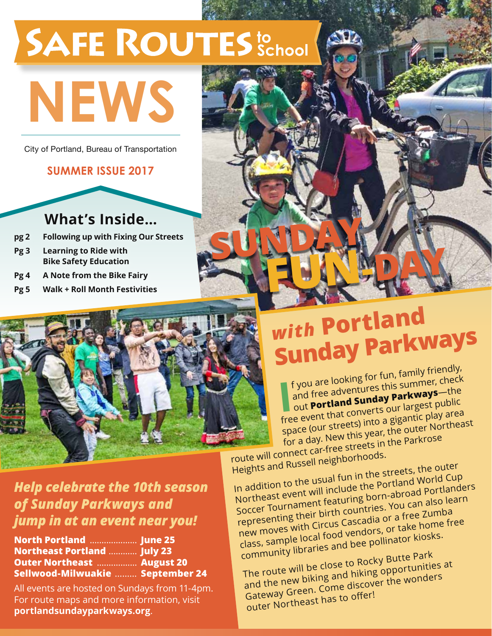## **SAFE ROUTES** to School

# **News**

City of Portland, Bureau of Transportation

#### **summer issue 2017**

### **What's Inside…**

- **pg 2 Following up with Fixing Our Streets**
- **Pg 3 Learning to Ride with Bike Safety Education**
- **Pg 4 A Note from the Bike Fairy**
- **Pg 5 Walk + Roll Month Festivities**



## *with* **Portlan<sup>d</sup> Sunday Parkways**

**Fun-day**

SUNDAY.

**I** f you are looking for fun, family friendly, and free adventures this summer, check out **Portland Sunday Parkways**—the out **Portland Sunday i direct** public<br>free event that converts our largest public space (our streets) into a gigantic play area for a day. New this year, the outer Northeas<sup>t</sup> route will connect car-free streets in the Parkrose

Heights and Russell neighborhoods.

In addition to the usual fun in the streets, the outer Northeast event will include the Portland World Cup Soccer Tournament featuring born-abroad Portlanders representing their birth countries. You can also learn new moves with Circus Cascadia or a free Zumba class, sample local food vendors, or take home free community libraries and bee pollinator kiosks.

The route will be close to Rocky Butte Park and the new biking and hiking opportunities at Gateway Green. Come discover the wonders outer Northeast has to offer!

#### *Help celebrate the 10th season of Sunday Parkways and jump in at an event near you!*

| North Portland  June 25            |  |
|------------------------------------|--|
| <b>Northeast Portland  July 23</b> |  |
| <b>Outer Northeast  August 20</b>  |  |
| Sellwood-Milwuakie  September 24   |  |

All events are hosted on Sundays from 11-4pm. For route maps and more information, visit **portlandsundayparkways.org**.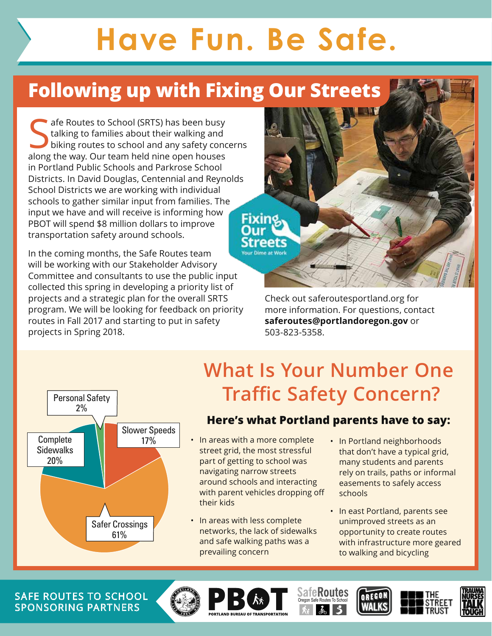## **Have Fun. Be Safe.**

## **Following up with Fixing Our Streets**

Safe Routes to School (SRTS) has been busy<br>talking to families about their walking and<br>biking routes to school and any safety concelleng the way. Our team held nine onen bouses talking to families about their walking and biking routes to school and any safety concerns along the way. Our team held nine open houses in Portland Public Schools and Parkrose School Districts. In David Douglas, Centennial and Reynolds School Districts we are working with individual schools to gather similar input from families. The input we have and will receive is informing how PBOT will spend \$8 million dollars to improve transportation safety around schools.

In the coming months, the Safe Routes team will be working with our Stakeholder Advisory Committee and consultants to use the public input collected this spring in developing a priority list of projects and a strategic plan for the overall SRTS program. We will be looking for feedback on priority routes in Fall 2017 and starting to put in safety projects in Spring 2018.

Check out saferoutesportland.org for more information. For questions, contact **saferoutes@portlandoregon.gov** or 503-823-5358.



## **What Is Your Number One Traffic Safety Concern?**

#### **Here's what Portland parents have to say:**

- 17%  **In areas with a more complete** street grid, the most stressful part of getting to school was navigating narrow streets around schools and interacting with parent vehicles dropping off their kids
	- In areas with less complete networks, the lack of sidewalks and safe walking paths was a prevailing concern
- In Portland neighborhoods that don't have a typical grid, many students and parents rely on trails, paths or informal easements to safely access schools
- In east Portland, parents see unimproved streets as an opportunity to create routes with infrastructure more geared to walking and bicycling

SAFE ROUTES TO SCHOOL  $\left(\begin{matrix} \mathbb{C}^n \\ \mathbb{C}^n \end{matrix}\right)$   $\left[\begin{matrix} \mathbb{C}^n \\ \mathbb{C}^n \end{matrix}\right]$   $\left[\begin{matrix} \mathbb{C}^n \\ \mathbb{C}^n \end{matrix}\right]$   $\left[\begin{matrix} \mathbb{C}^n \\ \mathbb{C}^n \end{matrix}\right]$   $\left[\begin{matrix} \mathbb{C}^n \\ \mathbb{C}^n \end{matrix}\right]$ Sponsoring Partners











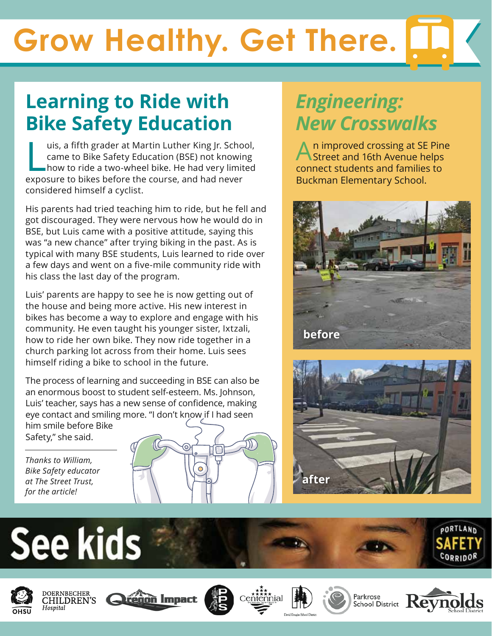## **Grow Healthy. Get There.**

### **Learning to Ride with Bike Safety Education**

uis, a fifth grader at Martin Luther King Jr. Scho<br>came to Bike Safety Education (BSE) not knowir<br>how to ride a two-wheel bike. He had very limit<br>exposure to bikes before the course, and had never uis, a fifth grader at Martin Luther King Jr. School, came to Bike Safety Education (BSE) not knowing how to ride a two-wheel bike. He had very limited considered himself a cyclist.

His parents had tried teaching him to ride, but he fell and got discouraged. They were nervous how he would do in BSE, but Luis came with a positive attitude, saying this was "a new chance" after trying biking in the past. As is typical with many BSE students, Luis learned to ride over a few days and went on a five-mile community ride with his class the last day of the program.

Luis' parents are happy to see he is now getting out of the house and being more active. His new interest in bikes has become a way to explore and engage with his community. He even taught his younger sister, Ixtzali, how to ride her own bike. They now ride together in a church parking lot across from their home. Luis sees himself riding a bike to school in the future.

The process of learning and succeeding in BSE can also be an enormous boost to student self-esteem. Ms. Johnson, Luis' teacher, says has a new sense of confidence, making eye contact and smiling more. "I don't know if I had seen him smile before Bike Safety," she said.

*Thanks to William, Bike Safety educator at The Street Trust, for the article!*



### *Engineering: New Crosswalks*

n improved crossing at SE Pine Street and 16th Avenue helps connect students and families to Buckman Elementary School.



















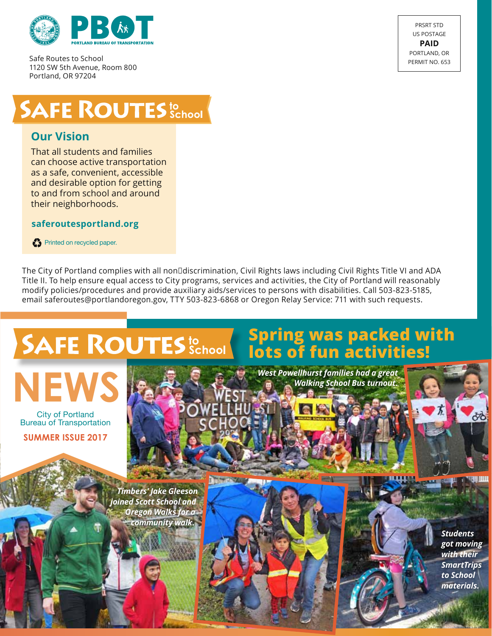

Safe Routes to School 1120 SW 5th Avenue, Room 800 Portland, OR 97204



## **SAFE ROUTES SChool**

#### **Our Vision**

That all students and families can choose active transportation as a safe, convenient, accessible and desirable option for getting to and from school and around their neighborhoods.

#### **saferoutesportland.org**

Printed on recycled paper.

The City of Portland complies with all non□discrimination, Civil Rights laws including Civil Rights Title VI and ADA Title II. To help ensure equal access to City programs, services and activities, the City of Portland will reasonably modify policies/procedures and provide auxiliary aids/services to persons with disabilities. Call 503-823-5185, email saferoutes@portlandoregon.gov, TTY 503-823-6868 or Oregon Relay Service: 711 with such requests.

## **SAFE ROUTES** School



City of Portland Bureau of Transportation

**summer Issue 2017**

*Timbers' Jake Gleeson joined Scott School and Oregon Walks for a community walk.*



*Walking School Bus turnout.*



*Students got moving with their SmartTrips to School materials.*